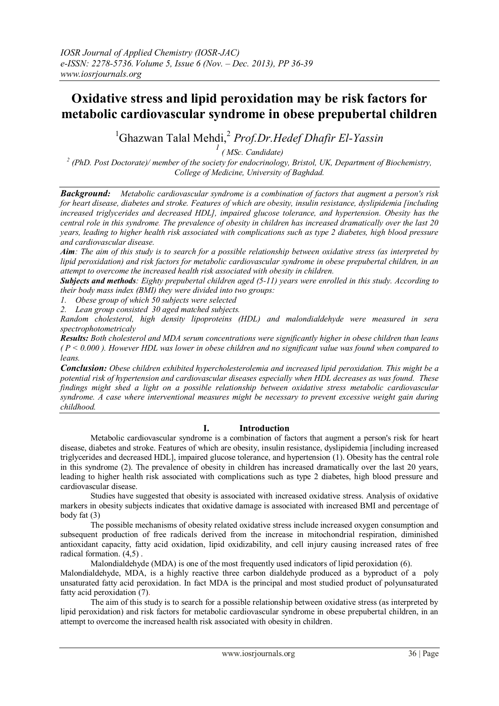# **Oxidative stress and lipid peroxidation may be risk factors for metabolic cardiovascular syndrome in obese prepubertal children**

<sup>1</sup>Ghazwan Talal Mehdi, 2 *Prof.Dr.Hedef Dhafir El-Yassin*

*1 ( MSc. Candidate)*

*2 (PhD. Post Doctorate)/ member of the society for endocrinology, Bristol, UK, Department of Biochemistry, College of Medicine, University of Baghdad.*

*Background: Metabolic cardiovascular syndrome is a combination of factors that augment a person's risk for heart disease, diabetes and stroke. Features of which are obesity, insulin resistance, dyslipidemia [including increased triglycerides and decreased HDL], impaired glucose tolerance, and hypertension. Obesity has the central role in this syndrome. The prevalence of obesity in children has increased dramatically over the last 20 years, leading to higher health risk associated with complications such as type 2 diabetes, high blood pressure and cardiovascular disease.* 

*Aim: The aim of this study is to search for a possible relationship between oxidative stress (as interpreted by lipid peroxidation) and risk factors for metabolic cardiovascular syndrome in obese prepubertal children, in an attempt to overcome the increased health risk associated with obesity in children.*

*Subjects and methods: Eighty prepubertal children aged (5-11) years were enrolled in this study. According to their body mass index (BMI) they were divided into two groups:*

*1. Obese group of which 50 subjects were selected*

*2. Lean group consisted 30 aged matched subjects.* 

*Random cholesterol, high density lipoproteins (HDL) and malondialdehyde were measured in sera spectrophotometricaly*

*Results: Both cholesterol and MDA serum concentrations were significantly higher in obese children than leans ( P < 0.000 ). However HDL was lower in obese children and no significant value was found when compared to leans.* 

*Conclusion: Obese children exhibited hypercholesterolemia and increased lipid peroxidation. This might be a potential risk of hypertension and cardiovascular diseases especially when HDL decreases as was found. These findings might shed a light on a possible relationship between oxidative stress metabolic cardiovascular syndrome. A case where interventional measures might be necessary to prevent excessive weight gain during childhood.*

## **I. Introduction**

Metabolic cardiovascular syndrome is a combination of factors that augment a person's risk for heart disease, diabetes and stroke. Features of which are obesity, insulin resistance, dyslipidemia [including increased triglycerides and decreased HDL], impaired glucose tolerance, and hypertension (1). Obesity has the central role in this syndrome (2). The prevalence of obesity in children has increased dramatically over the last 20 years, leading to higher health risk associated with complications such as type 2 diabetes, high blood pressure and cardiovascular disease.

Studies have suggested that obesity is associated with increased oxidative stress. Analysis of oxidative markers in obesity subjects indicates that oxidative damage is associated with increased BMI and percentage of body fat (3)

The possible mechanisms of obesity related oxidative stress include increased oxygen consumption and subsequent production of free radicals derived from the increase in mitochondrial respiration, diminished antioxidant capacity, fatty acid oxidation, lipid oxidizability, and cell injury causing increased rates of free radical formation. (4,5) .

Malondialdehyde (MDA) is one of the most frequently used indicators of lipid peroxidation (6).

Malondialdehyde, MDA, is a highly reactive three carbon dialdehyde produced as a byproduct of a poly unsaturated fatty acid peroxidation. In fact MDA is the principal and most studied product of polyunsaturated fatty acid peroxidation (7).

The aim of this study is to search for a possible relationship between oxidative stress (as interpreted by lipid peroxidation) and risk factors for metabolic cardiovascular syndrome in obese prepubertal children, in an attempt to overcome the increased health risk associated with obesity in children.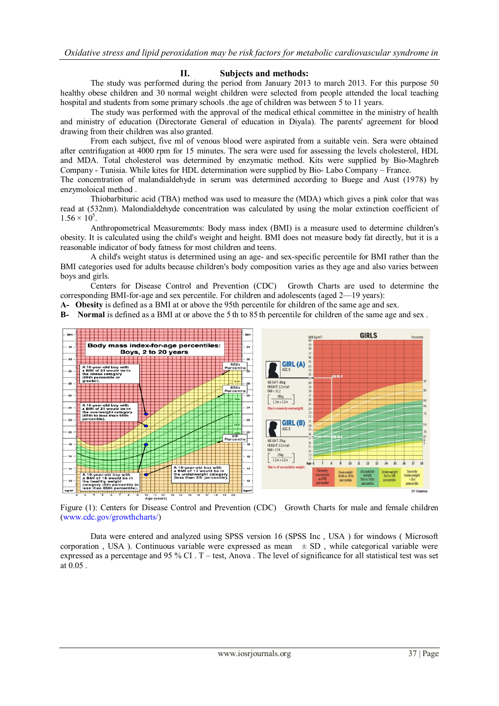## **II. Subjects and methods:**

The study was performed during the period from January 2013 to march 2013. For this purpose 50 healthy obese children and 30 normal weight children were selected from people attended the local teaching hospital and students from some primary schools .the age of children was between 5 to 11 years.

 The study was performed with the approval of the medical ethical committee in the ministry of health and ministry of education (Directorate General of education in Diyala). The parents' agreement for blood drawing from their children was also granted.

From each subject, five ml of venous blood were aspirated from a suitable vein. Sera were obtained after centrifugation at 4000 rpm for 15 minutes. The sera were used for assessing the levels cholesterol, HDL and MDA. Total cholesterol was determined by enzymatic method. Kits were supplied by Bio-Maghreb Company - Tunisia. While kites for HDL determination were supplied by Bio- Labo Company – France.

The concentration of malandialdehyde in serum was determined according to Buege and Aust (1978) by enzymoloical method .

Thiobarbituric acid (TBA) method was used to measure the (MDA) which gives a pink color that was read at (532nm). Malondialdehyde concentration was calculated by using the molar extinction coefficient of  $1.56 \times 10^5$ .

Anthropometrical Measurements: Body mass index (BMI) is a measure used to determine children's obesity. It is calculated using the child's weight and height. BMI does not measure body fat directly, but it is a reasonable indicator of body fatness for most children and teens.

A child's weight status is determined using an age- and sex-specific percentile for BMI rather than the BMI categories used for adults because children's body composition varies as they age and also varies between boys and girls.

Centers for Disease Control and Prevention (CDC) Growth Charts are used to determine the corresponding BMI-for-age and sex percentile. For children and adolescents (aged 2—19 years):

**A- Obesity** is defined as a BMI at or above the 95th percentile for children of the same age and sex.

**B- Normal** is defined as a BMI at or above the 5 th to 85 th percentile for children of the same age and sex .



Figure (1): Centers for Disease Control and Prevention (CDC) Growth Charts for male and female children [\(www.cdc.gov/growthcharts/\)](http://www.cdc.gov/growthcharts/)

Data were entered and analyzed using SPSS version 16 (SPSS Inc , USA ) for windows ( Microsoft corporation, USA). Continuous variable were expressed as mean  $\pm$  SD, while categorical variable were expressed as a percentage and 95 % CI. T – test, Anova. The level of significance for all statistical test was set at 0.05 .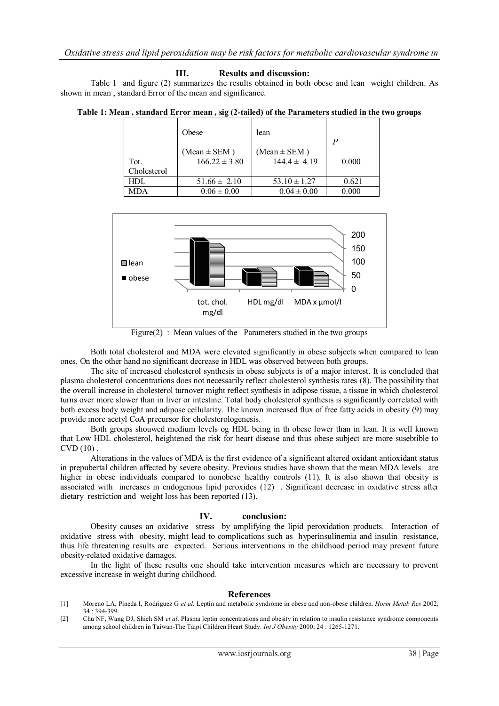#### **III. Results and discussion:**

Table 1 and figure (2) summarizes the results obtained in both obese and lean weight children. As shown in mean , standard Error of the mean and significance.

|             | Obese             | lean             | P     |
|-------------|-------------------|------------------|-------|
|             | (Mean $\pm$ SEM)  | (Mean $\pm$ SEM) |       |
| Tot.        | $166.22 \pm 3.80$ | $144.4 \pm 4.19$ | 0.000 |
| Cholesterol |                   |                  |       |
| HDL         | $51.66 \pm 2.10$  | $53.10 \pm 1.27$ | 0.621 |
| <b>MDA</b>  | $0.06 \pm 0.00$   | $0.04 \pm 0.00$  | 0.000 |



Figure $(2)$ : Mean values of the Parameters studied in the two groups

Both total cholesterol and MDA were elevated significantly in obese subjects when compared to lean ones. On the other hand no significant decrease in HDL was observed between both groups.

The site of increased cholesterol synthesis in obese subjects is of a major interest. It is concluded that plasma cholesterol concentrations does not necessarily reflect cholesterol synthesis rates (8). The possibility that the overall increase in cholesterol turnover might reflect synthesis in adipose tissue, a tissue in which cholesterol turns over more slower than in liver or intestine. Total body cholesterol synthesis is significantly correlated with both excess body weight and adipose cellularity. The known increased flux of free fatty acids in obesity (9) may provide more acetyl CoA precursor for cholesterologenesis.

Both groups shouwed medium levels og HDL being in th obese lower than in lean. It is well known that Low HDL cholesterol, heightened the risk for heart disease and thus obese subject are more susebtible to  $CVD(10)$ .

Alterations in the values of MDA is the first evidence of a significant altered oxidant antioxidant status in prepubertal children affected by severe obesity. Previous studies have shown that the mean MDA levels are higher in obese individuals compared to nonobese healthy controls (11). It is also shown that obesity is associated with increases in endogenous lipid peroxides (12) . Significant decrease in oxidative stress after dietary restriction and weight loss has been reported (13).

### **IV. conclusion:**

Obesity causes an oxidative stress by amplifying the lipid peroxidation products. Interaction of oxidative stress with obesity, might lead to complications such as hyperinsulinemia and insulin resistance, thus life threatening results are expected. Serious interventions in the childhood period may prevent future obesity-related oxidative damages.

In the light of these results one should take intervention measures which are necessary to prevent excessive increase in weight during childhood.

#### **References**

- [1] Moreno LA, Pineda I, Rodriguez G *et al.* Leptin and metabolic syndrome in obese and non-obese children. *Horm Metab Res* 2002; 34 : 394-399.
- [2] Chu NF, Wang DJ, Shieh SM *et al*. Plasma leptin concentrations and obesity in relation to insulin resistance syndrome components among school children in Taiwan-The Taipi Children Heart Study. *Int J Obesity* 2000; 24 : 1265-1271.